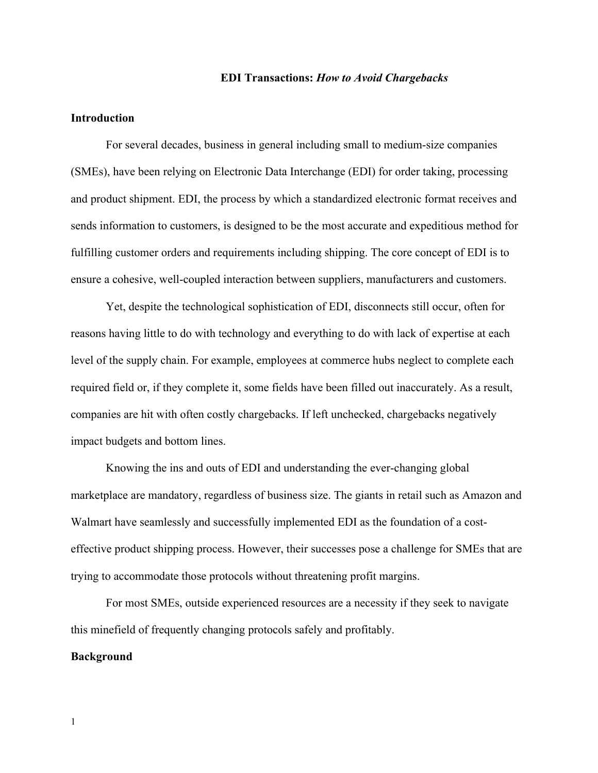#### **EDI Transactions:** *How to Avoid Chargebacks*

# **Introduction**

For several decades, business in general including small to medium-size companies (SMEs), have been relying on Electronic Data Interchange (EDI) for order taking, processing and product shipment. EDI, the process by which a standardized electronic format receives and sends information to customers, is designed to be the most accurate and expeditious method for fulfilling customer orders and requirements including shipping. The core concept of EDI is to ensure a cohesive, well-coupled interaction between suppliers, manufacturers and customers.

Yet, despite the technological sophistication of EDI, disconnects still occur, often for reasons having little to do with technology and everything to do with lack of expertise at each level of the supply chain. For example, employees at commerce hubs neglect to complete each required field or, if they complete it, some fields have been filled out inaccurately. As a result, companies are hit with often costly chargebacks. If left unchecked, chargebacks negatively impact budgets and bottom lines.

Knowing the ins and outs of EDI and understanding the ever-changing global marketplace are mandatory, regardless of business size. The giants in retail such as Amazon and Walmart have seamlessly and successfully implemented EDI as the foundation of a costeffective product shipping process. However, their successes pose a challenge for SMEs that are trying to accommodate those protocols without threatening profit margins.

For most SMEs, outside experienced resources are a necessity if they seek to navigate this minefield of frequently changing protocols safely and profitably.

## **Background**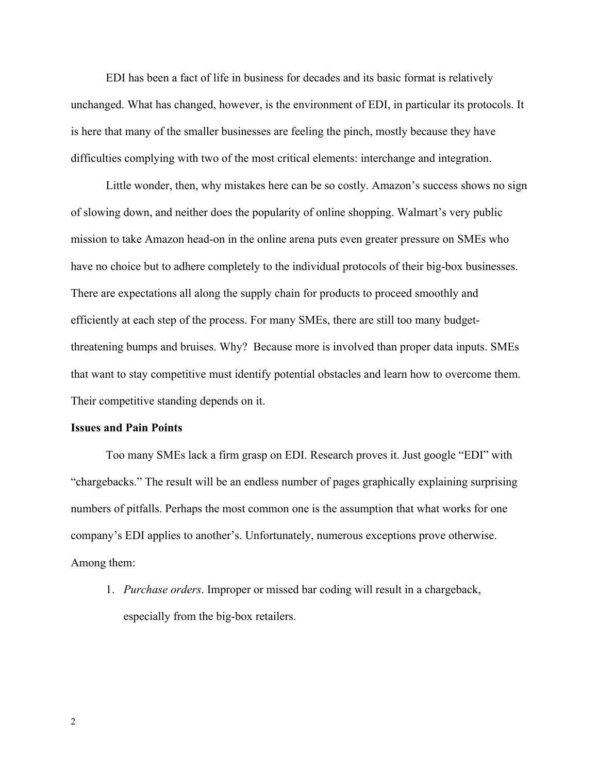EDI has been a fact of life in business for decades and its basic format is relatively unchanged. What has changed, however, is the environment of EDI, in particular its protocols. It is here that many of the smaller businesses are feeling the pinch, mostly because they have difficulties complying with two of the most critical elements: interchange and integration.

Little wonder, then, why mistakes here can be so costly. Amazon's success shows no sign of slowing down, and neither does the popularity of online shopping. Walmart's very public mission to take Amazon head-on in the online arena puts even greater pressure on SMEs who have no choice but to adhere completely to the individual protocols of their big-box businesses. There are expectations all along the supply chain for products to proceed smoothly and efficiently at each step of the process. For many SMEs, there are still too many budgetthreatening bumps and bruises. Why? Because more is involved than proper data inputs. SMEs that want to stay competitive must identify potential obstacles and learn how to overcome them. Their competitive standing depends on it.

#### **Issues and Pain Points**

Too many SMEs lack a firm grasp on EDI. Research proves it. Just google "EDI" with "chargebacks." The result will be an endless number of pages graphically explaining surprising numbers of pitfalls. Perhaps the most common one is the assumption that what works for one company's EDI applies to another's. Unfortunately, numerous exceptions prove otherwise. Among them:

1. *Purchase orders*. Improper or missed bar coding will result in a chargeback, especially from the big-box retailers.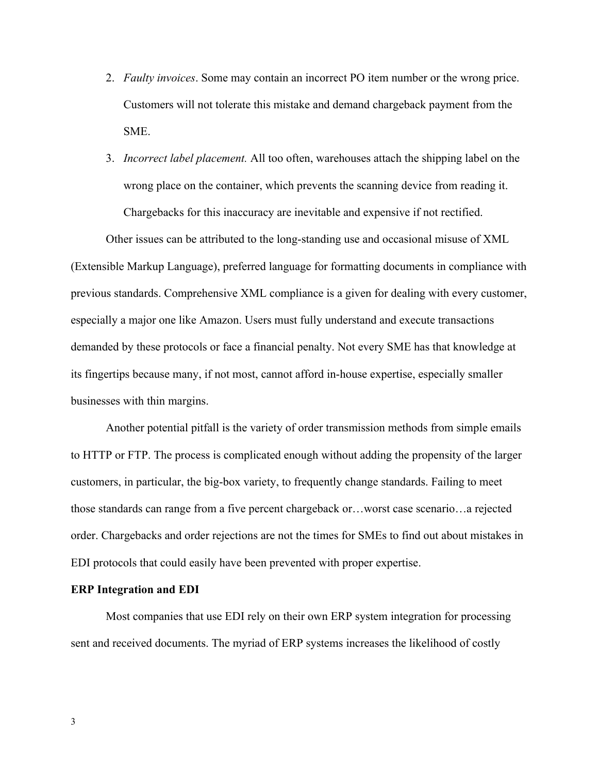- 2. *Faulty invoices*. Some may contain an incorrect PO item number or the wrong price. Customers will not tolerate this mistake and demand chargeback payment from the **SME**
- 3. *Incorrect label placement.* All too often, warehouses attach the shipping label on the wrong place on the container, which prevents the scanning device from reading it. Chargebacks for this inaccuracy are inevitable and expensive if not rectified.

Other issues can be attributed to the long-standing use and occasional misuse of XML (Extensible Markup Language), preferred language for formatting documents in compliance with previous standards. Comprehensive XML compliance is a given for dealing with every customer, especially a major one like Amazon. Users must fully understand and execute transactions demanded by these protocols or face a financial penalty. Not every SME has that knowledge at its fingertips because many, if not most, cannot afford in-house expertise, especially smaller businesses with thin margins.

Another potential pitfall is the variety of order transmission methods from simple emails to HTTP or FTP. The process is complicated enough without adding the propensity of the larger customers, in particular, the big-box variety, to frequently change standards. Failing to meet those standards can range from a five percent chargeback or…worst case scenario…a rejected order. Chargebacks and order rejections are not the times for SMEs to find out about mistakes in EDI protocols that could easily have been prevented with proper expertise.

# **ERP Integration and EDI**

Most companies that use EDI rely on their own ERP system integration for processing sent and received documents. The myriad of ERP systems increases the likelihood of costly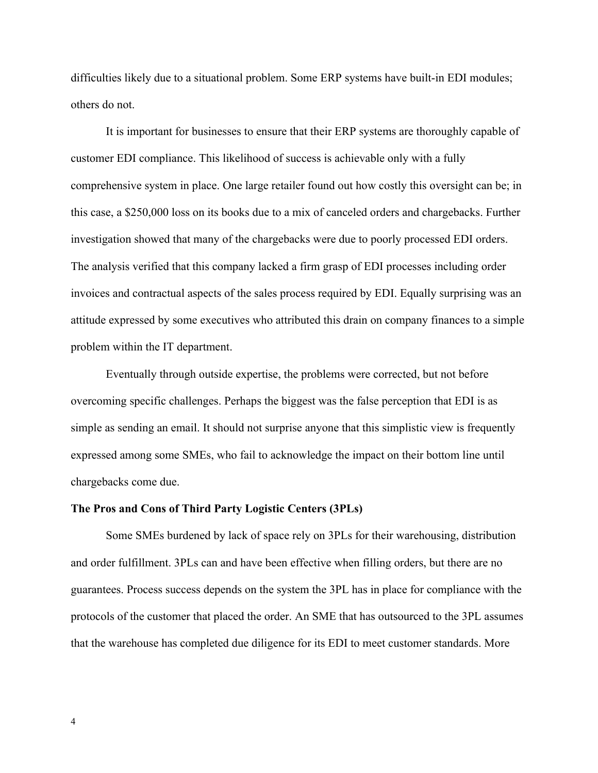difficulties likely due to a situational problem. Some ERP systems have built-in EDI modules; others do not.

It is important for businesses to ensure that their ERP systems are thoroughly capable of customer EDI compliance. This likelihood of success is achievable only with a fully comprehensive system in place. One large retailer found out how costly this oversight can be; in this case, a \$250,000 loss on its books due to a mix of canceled orders and chargebacks. Further investigation showed that many of the chargebacks were due to poorly processed EDI orders. The analysis verified that this company lacked a firm grasp of EDI processes including order invoices and contractual aspects of the sales process required by EDI. Equally surprising was an attitude expressed by some executives who attributed this drain on company finances to a simple problem within the IT department.

Eventually through outside expertise, the problems were corrected, but not before overcoming specific challenges. Perhaps the biggest was the false perception that EDI is as simple as sending an email. It should not surprise anyone that this simplistic view is frequently expressed among some SMEs, who fail to acknowledge the impact on their bottom line until chargebacks come due.

## **The Pros and Cons of Third Party Logistic Centers (3PLs)**

Some SMEs burdened by lack of space rely on 3PLs for their warehousing, distribution and order fulfillment. 3PLs can and have been effective when filling orders, but there are no guarantees. Process success depends on the system the 3PL has in place for compliance with the protocols of the customer that placed the order. An SME that has outsourced to the 3PL assumes that the warehouse has completed due diligence for its EDI to meet customer standards. More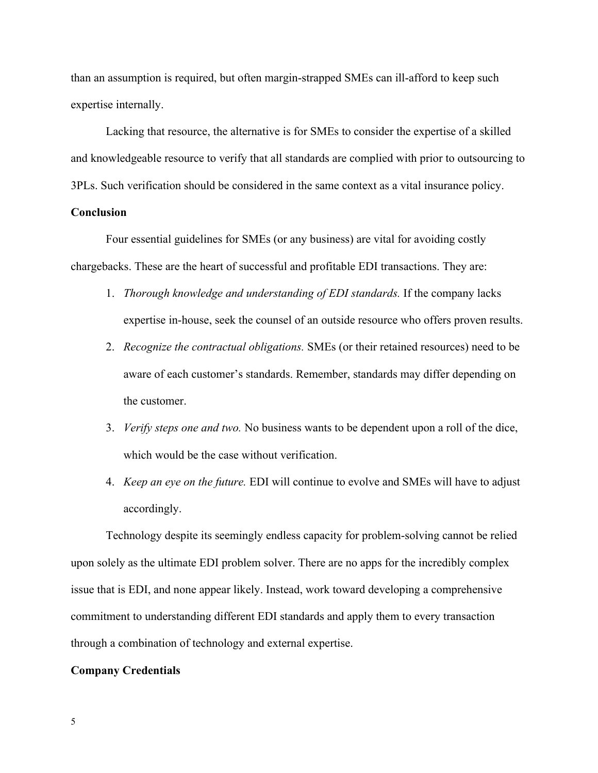than an assumption is required, but often margin-strapped SMEs can ill-afford to keep such expertise internally.

Lacking that resource, the alternative is for SMEs to consider the expertise of a skilled and knowledgeable resource to verify that all standards are complied with prior to outsourcing to 3PLs. Such verification should be considered in the same context as a vital insurance policy.

# **Conclusion**

Four essential guidelines for SMEs (or any business) are vital for avoiding costly chargebacks. These are the heart of successful and profitable EDI transactions. They are:

- 1. *Thorough knowledge and understanding of EDI standards.* If the company lacks expertise in-house, seek the counsel of an outside resource who offers proven results.
- 2. *Recognize the contractual obligations.* SMEs (or their retained resources) need to be aware of each customer's standards. Remember, standards may differ depending on the customer.
- 3. *Verify steps one and two.* No business wants to be dependent upon a roll of the dice, which would be the case without verification.
- 4. *Keep an eye on the future.* EDI will continue to evolve and SMEs will have to adjust accordingly.

Technology despite its seemingly endless capacity for problem-solving cannot be relied upon solely as the ultimate EDI problem solver. There are no apps for the incredibly complex issue that is EDI, and none appear likely. Instead, work toward developing a comprehensive commitment to understanding different EDI standards and apply them to every transaction through a combination of technology and external expertise.

## **Company Credentials**